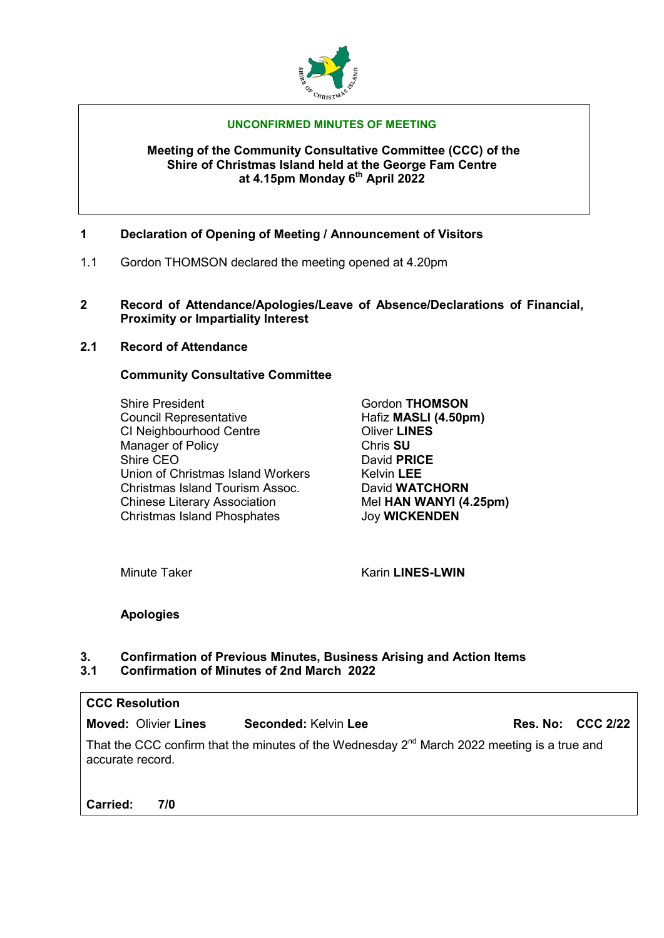

#### **UNCONFIRMED MINUTES OF MEETING**

#### **Meeting of the Community Consultative Committee (CCC) of the Shire of Christmas Island held at the George Fam Centre at 4.15pm Monday 6th April 2022**

- **1 Declaration of Opening of Meeting / Announcement of Visitors**
- 1.1 Gordon THOMSON declared the meeting opened at 4.20pm
- **2 Record of Attendance/Apologies/Leave of Absence/Declarations of Financial, Proximity or Impartiality Interest**
- **2.1 Record of Attendance**

### **Community Consultative Committee**

Shire President **Gordon THOMSON**<br>Council Representative **Gordon THOMSON**<br>Hafiz **MASLI** (4.50p CI Neighbourhood Centre **CI Neighbourhood Centre** Oliver LINES<br>
Manager of Policy **Changes Manager of Policy** Shire CEO<br>
Union of Christmas Island Workers
Belvin LEE Union of Christmas Island Workers Kelvin LEE<br>
Christmas Island Tourism Assoc. David WATCHORN Christmas Island Tourism Assoc.<br>
Chinese Literary Association **Changer Chinese Literary Association**Changer Mel **HAN WANYI (4.25pm) Chinese Literary Association** Christmas Island Phosphates Joy **WICKENDEN**

**Hafiz MASLI (4.50pm)** 

Minute Taker **Karin LINES-LWIN** 

# **Apologies**

#### **3. Confirmation of Previous Minutes, Business Arising and Action Items 3.1 Confirmation of Minutes of 2nd March 2022**

| <b>CCC Resolution</b>                                                                                                       |                      |                          |  |  |  |  |
|-----------------------------------------------------------------------------------------------------------------------------|----------------------|--------------------------|--|--|--|--|
| <b>Moved: Olivier Lines</b>                                                                                                 | Seconded: Kelvin Lee | <b>Res. No: CCC 2/22</b> |  |  |  |  |
| That the CCC confirm that the minutes of the Wednesday 2 <sup>nd</sup> March 2022 meeting is a true and<br>accurate record. |                      |                          |  |  |  |  |
|                                                                                                                             |                      |                          |  |  |  |  |

**Carried: 7/0**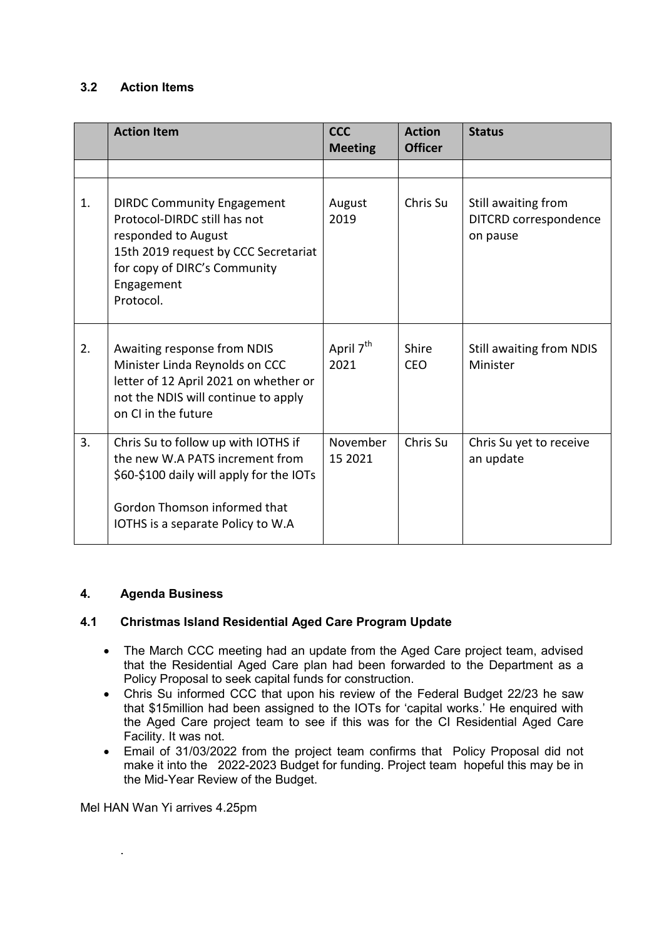# **3.2 Action Items**

|    | <b>Action Item</b>                                                                                                                                                                          | <b>CCC</b><br><b>Meeting</b>  | <b>Action</b><br><b>Officer</b> | <b>Status</b>                                            |
|----|---------------------------------------------------------------------------------------------------------------------------------------------------------------------------------------------|-------------------------------|---------------------------------|----------------------------------------------------------|
|    |                                                                                                                                                                                             |                               |                                 |                                                          |
| 1. | <b>DIRDC Community Engagement</b><br>Protocol-DIRDC still has not<br>responded to August<br>15th 2019 request by CCC Secretariat<br>for copy of DIRC's Community<br>Engagement<br>Protocol. | August<br>2019                | Chris Su                        | Still awaiting from<br>DITCRD correspondence<br>on pause |
| 2. | Awaiting response from NDIS<br>Minister Linda Reynolds on CCC<br>letter of 12 April 2021 on whether or<br>not the NDIS will continue to apply<br>on CI in the future                        | April 7 <sup>th</sup><br>2021 | Shire<br><b>CEO</b>             | Still awaiting from NDIS<br>Minister                     |
| 3. | Chris Su to follow up with IOTHS if<br>the new W.A PATS increment from<br>\$60-\$100 daily will apply for the IOTs<br>Gordon Thomson informed that<br>IOTHS is a separate Policy to W.A     | November<br>15 2021           | Chris Su                        | Chris Su yet to receive<br>an update                     |

### **4. Agenda Business**

### **4.1 Christmas Island Residential Aged Care Program Update**

- The March CCC meeting had an update from the Aged Care project team, advised that the Residential Aged Care plan had been forwarded to the Department as a Policy Proposal to seek capital funds for construction.
- Chris Su informed CCC that upon his review of the Federal Budget 22/23 he saw that \$15million had been assigned to the IOTs for 'capital works.' He enquired with the Aged Care project team to see if this was for the CI Residential Aged Care Facility. It was not.
- Email of 31/03/2022 from the project team confirms that Policy Proposal did not make it into the 2022-2023 Budget for funding. Project team hopeful this may be in the Mid-Year Review of the Budget.

Mel HAN Wan Yi arrives 4.25pm

.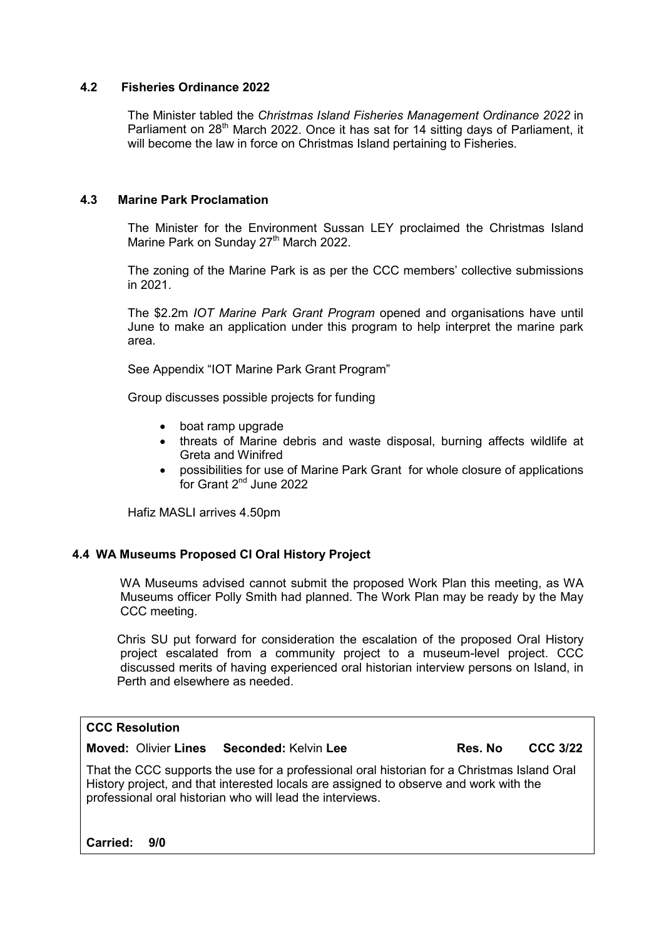### **4.2 Fisheries Ordinance 2022**

The Minister tabled the *Christmas Island Fisheries Management Ordinance 2022* in Parliament on 28<sup>th</sup> March 2022. Once it has sat for 14 sitting days of Parliament, it will become the law in force on Christmas Island pertaining to Fisheries.

### **4.3 Marine Park Proclamation**

The Minister for the Environment Sussan LEY proclaimed the Christmas Island Marine Park on Sunday 27<sup>th</sup> March 2022.

The zoning of the Marine Park is as per the CCC members' collective submissions in 2021.

The \$2.2m *IOT Marine Park Grant Program* opened and organisations have until June to make an application under this program to help interpret the marine park area.

See Appendix "IOT Marine Park Grant Program"

Group discusses possible projects for funding

- boat ramp upgrade
- threats of Marine debris and waste disposal, burning affects wildlife at Greta and Winifred
- possibilities for use of Marine Park Grant for whole closure of applications for Grant 2<sup>nd</sup> June 2022

Hafiz MASLI arrives 4.50pm

### **4.4 WA Museums Proposed CI Oral History Project**

WA Museums advised cannot submit the proposed Work Plan this meeting, as WA Museums officer Polly Smith had planned. The Work Plan may be ready by the May CCC meeting.

Chris SU put forward for consideration the escalation of the proposed Oral History project escalated from a community project to a museum-level project. CCC discussed merits of having experienced oral historian interview persons on Island, in Perth and elsewhere as needed.

## **CCC Resolution**

**Moved:** Olivier **Lines Seconded:** Kelvin **Lee Res. No CCC 3/22**

That the CCC supports the use for a professional oral historian for a Christmas Island Oral History project, and that interested locals are assigned to observe and work with the professional oral historian who will lead the interviews.

**Carried: 9/0**